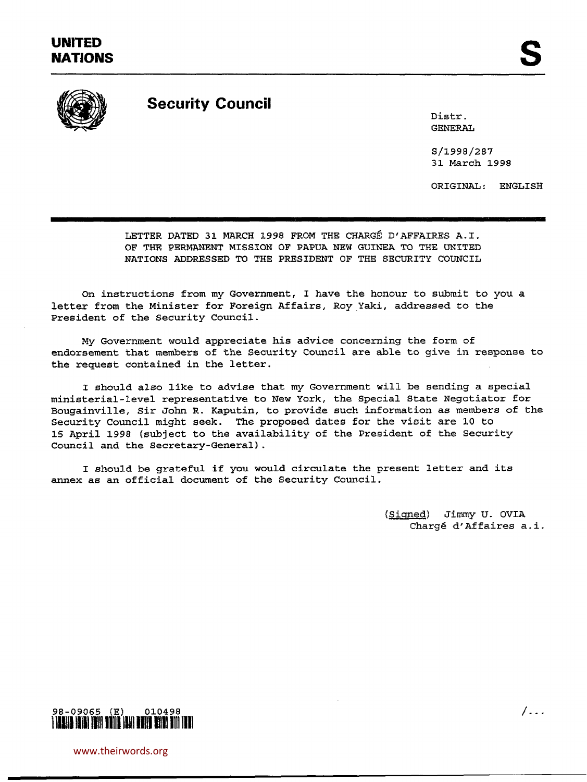

# **Security Council**

Distr. GENERAL

S/1998/287 31 March 1998

ORIGINAL: ENGLISH

LETTER DATED 31 MARCH 1998 FROM THE CHARGE D'AFFAIRES A.I. OF THE PERMANENT MISSION OF PAPUA NEW GUINEA TO THE UNITED NATIONS ADDRESSED TO THE PRESIDENT OF THE SECURITY COUNCIL

On instructions from my Government, I have the honour to submit to you a letter from the Minister for Foreign Affairs, Roy Yaki, addressed to the President of the Security Council.

My Government would appreciate his advice concerning the form of endorsement that members of the Security Council are able to give in response to the request contained in the letter.

I should also like to advise that my Government will be sending a special ministerial-level representative to New York, the Special State Negotiator for Bougainville, Sir John R. Kaputin, to provide such information as members of the Security Council might seek. The proposed dates for the visit are 10 to 15 April 1998 (subject to the availability of the President of the Security Council and the Secretary-General).

I should be grateful if you would circulate the present letter and its annex as an official document of the Security Council.

> (Signed) Jimmy U. OVIA Charge d'Affaires a.i.



www.theirwords.org

 $/$ ...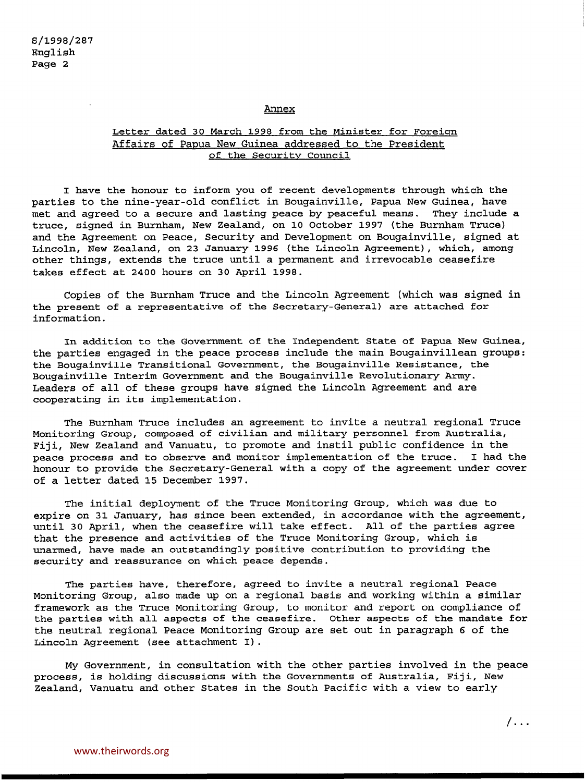### Annex

# Letter dated 30 March 1998 from the Minister for Foreign Affairs of Papua New Guinea addressed to the President of the Security Council

I have the honour to inform you of recent developments through which the parties to the nine-year-old conflict in Bougainville, Papua New Guinea, have met and agreed to a secure and lasting peace by peaceful means. They include a truce, signed in Burnham, New Zealand, on 10 October 1997 (the Burnham Truce) and the Agreement on Peace, Security and Development on Bougainville, signed at Lincoln, New Zealand, on 23 January 1996 (the Lincoln Agreement), which, among other things, extends the truce until a permanent and irrevocable ceasefire takes effect at 2400 hours on 30 April 1998.

Copies of the Burnham Truce and the Lincoln Agreement (which was signed in the present of a representative of the Secretary-General) are attached for information.

In addition to the Government of the Independent State of Papua New Guinea, the parties engaged in the peace process include the main Bougainvillean groups: the Bougainville Transitional Government, the Bougainville Resistance, the Bougainville Interim Government and the Bougainville Revolutionary Army. Leaders of all of these groups have signed the Lincoln Agreement and are cooperating in its implementation.

The Burnham Truce includes an agreement to invite a neutral regional Truce Monitoring Group, composed of civilian and military personnel from Australia, Fiji, New Zealand and Vanuatu, to promote and instil public confidence in the peace process and to observe and monitor implementation of the truce. I had the honour to provide the Secretary-General with a copy of the agreement under cover of a letter dated 15 December 1997.

The initial deployment of the Truce Monitoring Group, which was due to expire on 31 January, has since been extended, in accordance with the agreement, until 30 April, when the ceasefire will take effect. All of the parties agree that the presence and activities of the Truce Monitoring Group, which is unarmed, have made an outstandingly positive contribution to providing the security and reassurance on which peace depends.

The parties have, therefore, agreed to invite a neutral regional Peace Monitoring Group, also made up on a regional basis and working within a similar framework as the Truce Monitoring Group, to monitor and report on compliance of the parties with all aspects of the ceasefire. Other aspects of the mandate for the neutral regional Peace Monitoring Group are set out in paragraph 6 of the Lincoln Agreement (see attachment I).

My Government, in consultation with the other parties involved in the peace process, is holding discussions with the Governments of Australia, Fiji, New Zealand, Vanuatu and other states in the South Pacific with a view to early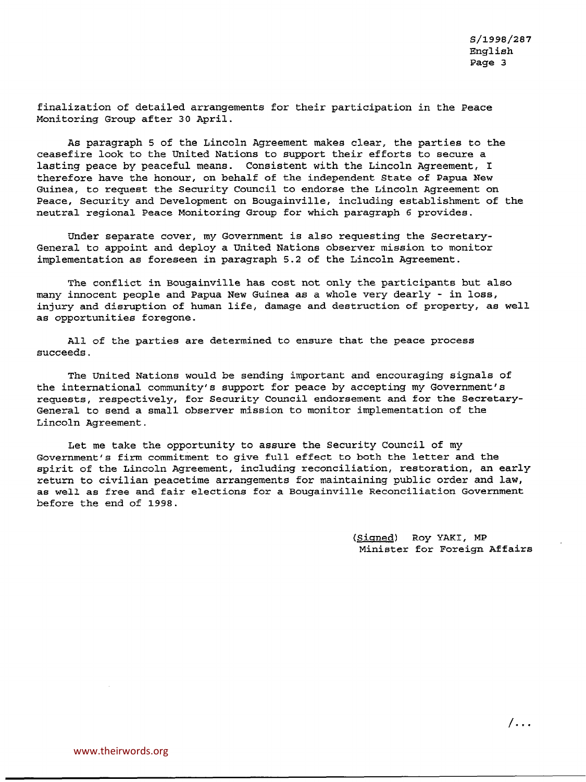finalization of detailed arrangements for their participation in the Peace Monitoring Group after 30 April.

As paragraph 5 of the Lincoln Agreement makes clear, the parties to the ceasefire look to the United Nations to support their efforts to secure a lasting peace by peaceful means. Consistent with the Lincoln Agreement, I therefore have the honour, on behalf of the independent State of Papua New Guinea, to request the Security Council to endorse the Lincoln Agreement on Peace, Security and Development on Bougainville, including establishment of the neutral regional Peace Monitoring Group for which paragraph 6 provides.

Under separate cover, my Government is also requesting the Secretary-General to appoint and deploy a United Nations observer mission to monitor implementation as foreseen in paragraph 5.2 of the Lincoln Agreement.

The conflict in Bougainville has cost not only the participants but also many innocent people and Papua New Guinea as a whole very dearly - in loss, injury and disruption of human life, damage and destruction of property, as well as opportunities foregone.

All of the parties are determined to ensure that the peace process succeeds.

The United Nations would be sending important and encouraging signals of the international community's support for peace by accepting my Government's requests, respectively, for Security Council endorsement and for the Secretary-General to send a small observer mission to monitor implementation of the Lincoln Agreement.

Let me take the opportunity to assure the Security Council of my Government's firm commitment to give full effect to both the letter and the spirit of the Lincoln Agreement, including reconciliation, restoration, an early return to civilian peacetime arrangements for maintaining public order and law, as well as free and fair elections for a Bougainville Reconciliation Government before the end of 1998.

> (Signed) Roy YAKI, MP Minister for Foreign Affairs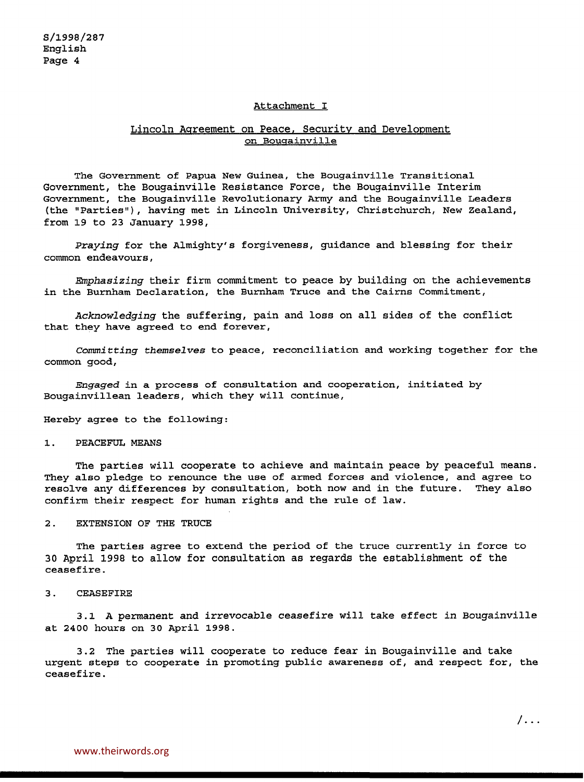#### Attachment I

# Lincoln Agreement on Peace, Security and Development on Bougainville

The Government of Papua New Guinea, the Bougainville Transitional Government, the Bougainville Resistance Force, the Bougainville Interim Government, the Bougainville Revolutionary Army and the Bougainville Leaders (the "Parties"), having met in Lincoln University, Christchurch, New Zealand, from 19 to 23 January 1998,

*Praying* for the Almighty's forgiveness, guidance and blessing for their common endeavours,

*Emphasizing* their firm commitment to peace by building on the achievements in the Burnham Declaration, the Burnham Truce and the Cairns Commitment,

*Acknowledging* the suffering, pain and loss on all sides of the conflict that they have agreed to end forever,

*Committing themselves* to peace, reconciliation and working together for the common good,

*Engaged* in a process of consultation and cooperation, initiated by Bougainvillean leaders, which they will continue,

Hereby agree to the following:

1. PEACEFUL MEANS

The parties will cooperate to achieve and maintain peace by peaceful means. They also pledge to renounce the use of armed forces and violence, and agree to resolve any differences by consultation, both now and in the future. They also confirm their respect for human rights and the rule of law.

### 2. EXTENSION OF THE TRUCE

The parties agree to extend the period of the truce currently in force to 30 April 1998 to allow for consultation as regards the establishment of the ceasefire.

3. CEASEFIRE

3.1 A permanent and irrevocable ceasefire will take effect in Bougainville at 2400 hours on 30 April 1998.

3.2 The parties will cooperate to reduce fear in Bougainville and take urgent steps to cooperate in promoting public awareness of, and respect for, the ceasefire.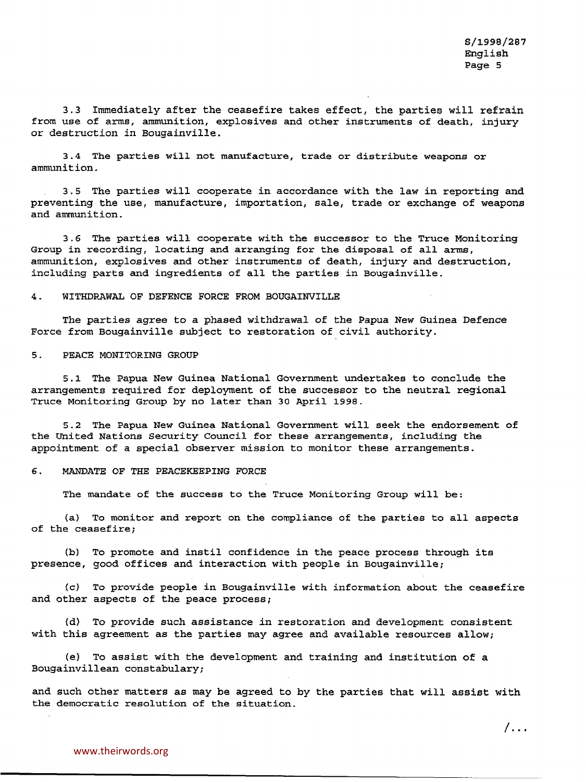/...

3.3 Immediately after the ceasefire takes effect, the parties will refrain from use of arras, ammunition, explosives and other instruments of death, injury or destruction in Bougainville.

3.4 The parties will not manufacture, trade or distribute weapons or ammunition.

3.5 The parties will cooperate in accordance with the law in reporting and preventing the use, manufacture, importation, sale, trade or exchange of weapons and ammunition.

3.6 The parties will cooperate with the successor to the Truce Monitoring Group in recording, locating and arranging for the disposal of all arms, ammunition, explosives and other instruments of death, injury and destruction, including parts and ingredients of all the parties in Bougainville.

# 4. WITHDRAWAL OF DEFENCE FORCE FROM BOUGAINVILLE

The parties agree to a phased withdrawal of the Papua New Guinea Defence Force from Bougainville subject to restoration of civil authority.

### 5. PEACE MONITORING GROUP

5.1 The Papua New Guinea National Government undertakes to conclude the arrangements required for deployment of the successor to the neutral regional Truce Monitoring Group by no later than 30 April 1998.

5.2 The Papua New Guinea National Government will seek the endorsement of the United Nations Security Council for these arrangements, including the appointment of a special observer mission to monitor these arrangements.

# 6. MANDATE OF THE PEACEKEEPING FORCE

The mandate of the success to the Truce Monitoring Group will be:

(a) To monitor and report on the compliance of the parties to all aspects of the ceasefire;

(b) To promote and instil confidence in the peace process through its presence, good offices and interaction with people in Bougainville;

{c) To provide people in Bougainville with information about the ceasefire and other aspects of the peace process;

(d) To provide such assistance in restoration and development consistent with this agreement as the parties may agree and available resources allow;

(e) To assist with the development and training and institution of a Bougainvillean constabulary;

and such other matters as may be agreed to by the parties that will assist with the democratic resolution of the situation.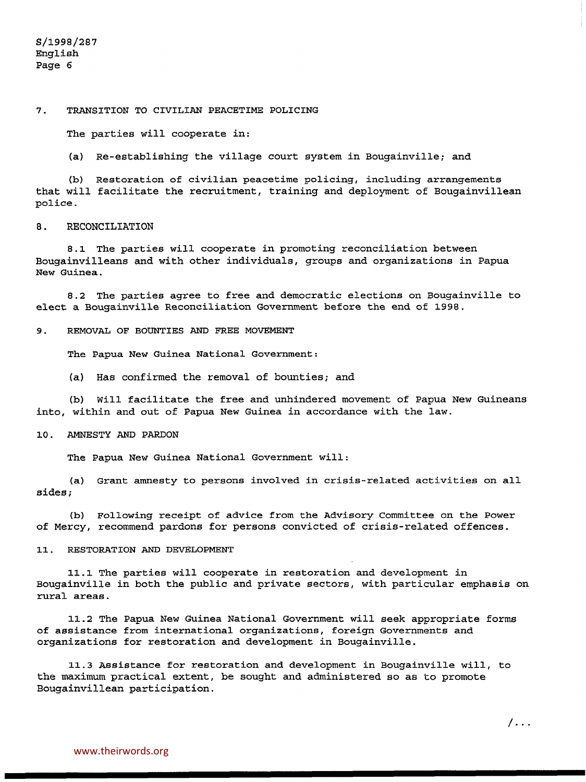### 7. TRANSITION TO CIVILIAN PEACETIME POLICING

The parties will cooperate in:

(a) Re-establishing the village court system in Bougainville; and

(b) Restoration of civilian peacetime policing, including arrangements that will facilitate the recruitment, training and deployment of Bougainvillean police.

### 8. RECONCILIATION

8.1 The parties will cooperate in promoting reconciliation between Bougainvilleans and with other individuals, groups and organizations in Papua New Guinea.

8.2 The parties agree to free and democratic elections on Bougainville to elect a Bougainville Reconciliation Government before the end of 1998.

9. REMOVAL OF BOUNTIES AND FREE MOVEMENT

The Papua New Guinea National Government:

(a) Has confirmed the removal of bounties; and

(b) Will facilitate the free and unhindered movement of Papua New Guineans into, within and out of Papua New Guinea in accordance with the law.

#### 10. AMNESTY AND PARDON

The Papua New Guinea National Government will:

(a) Grant amnesty to persons involved in crisis-related activities on all sides;

(b) Following receipt of advice from the Advisory Committee on the Power of Mercy, recommend pardons for persons convicted of crisis-related offences.

#### 11. RESTORATION AND DEVELOPMENT

11.1 The parties will cooperate in restoration and development in Bougainville in both the public and private sectors, with particular emphasis on rural areas.

11.2 The Papua New Guinea National Government will seek appropriate forms of assistance from international organizations, foreign Governments and organizations for restoration and development in Bougainville.

11.3 Assistance for restoration and development in Bougainville will, to the maximum practical extent, be sought and administered so as to promote Bougainvillean participation.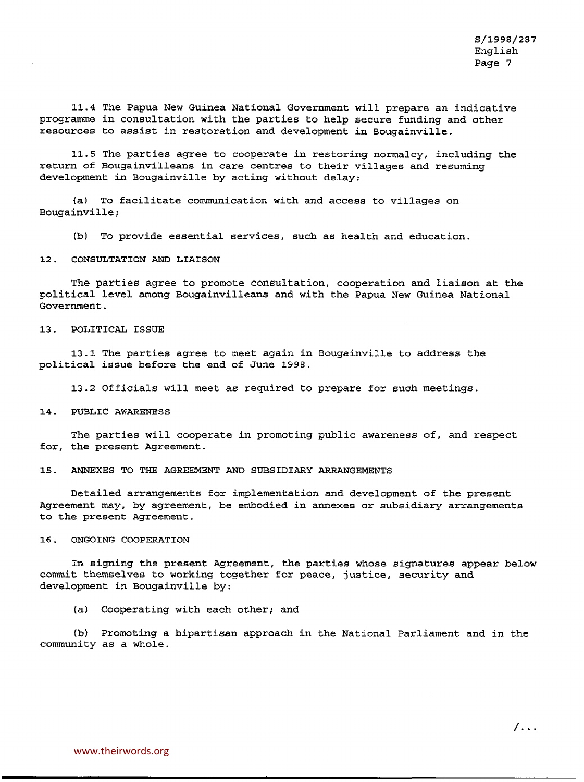11.4 The Papua New Guinea National Government will prepare an indicative programme in consultation with the parties to help secure funding and other resources to assist in restoration and development in Bougainville.

11.5 The parties agree to cooperate in restoring normalcy, including the return of Bougainvilleans in care centres to their villages and resuming development in Bougainville by acting without delay:

(a) To facilitate communication with and access to villages on Bougainville;

(b) To provide essential services, such as health and education.

12. CONSULTATION AND LIAISON

The parties agree to promote consultation, cooperation and liaison at the political level among Bougainvilleans and with the Papua New Guinea National Government.

### 13. POLITICAL ISSUE

13.1 The parties agree to meet again in Bougainville to address the political issue before the end of June 1998.

13.2 Officials will meet as required to prepare for such meetings.

14. PUBLIC AWARENESS

The parties will cooperate in promoting public awareness of, and respect for, the present Agreement.

15. ANNEXES TO THE AGREEMENT AND SUBSIDIARY ARRANGEMENTS

Detailed arrangements for implementation and development of the present Agreement may, by agreement, be embodied in annexes or subsidiary arrangements to the present Agreement.

#### 16. ONGOING COOPERATION

In signing the present Agreement, the parties whose signatures appear below commit themselves to working together for peace, justice, security and development in Bougainville by:

(a) Cooperating with each other; and

(b) Promoting a bipartisan approach in the National Parliament and in the community as a whole.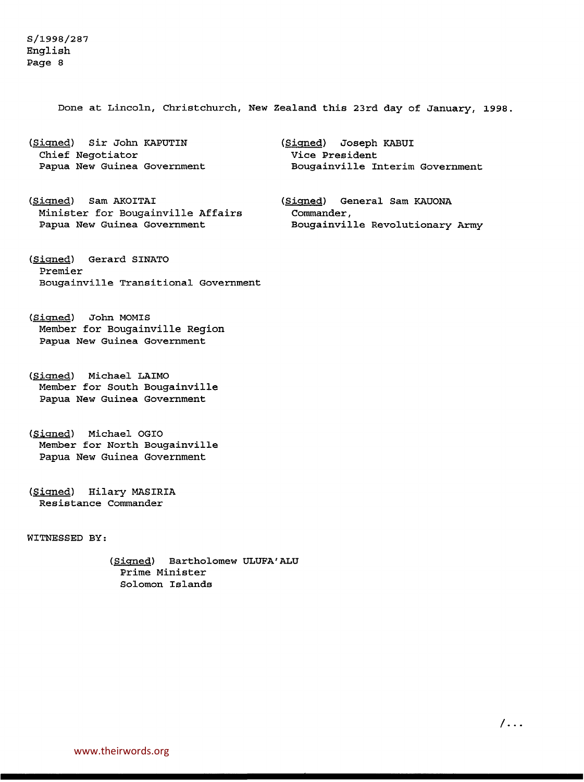S/1998/287 English Page 8

Done at Lincoln, Christchurch, New Zealand this 23rd day of January, 1998.

(Signed) Sir John KAPUTIN Chief Negotiator Papua New Guinea Government

- (Signed) Sam AKOITAI Minister for Bougainville Affairs Papua New Guinea Government
- (Signed) Gerard SINATO Premier Bougainville Transitional Government
- (Signed) John MOMIS Member for Bougainville Region Papua New Guinea Government
- (Signed) Michael LAIMO Member for South Bougainville Papua New Guinea Government
- (Signed) Michael OGIO Member for North Bougainville Papua New Guinea Government
- (Signed) Hilary MASIRIA Resistance Commander

WITNESSED BY:

(Signed) Bartholomew ULUFA'ALU Prime Minister Solomon Islands

(Signed) Joseph KABUI Vice President Bougainville Interim Government

(Signed) General Sam KAUONA Commander, Bougainville Revolutionary Army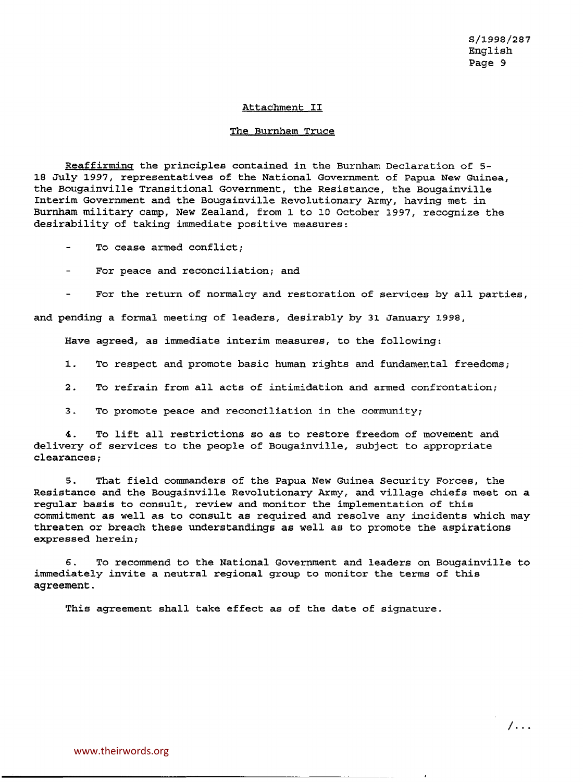### Attachment II

### The Burnham Truce

Reaffirming the principles contained in the Burnham Declaration of 5- 18 July 1997, representatives of the National Government of Papua New Guinea, the Bougainville Transitional Government, the Resistance, the Bougainville Interim Government and the Bougainville Revolutionary Army, having met in Burnham military camp, New Zealand, from 1 to 10 October 1997, recognize the desirability of taking immediate positive measures:

To cease armed conflict;

For peace and reconciliation; and

For the return of normalcy and restoration of services by all parties, and pending a formal meeting of leaders, desirably by 31 January 1998,

Have agreed, as immediate interim measures, to the following:

1. To respect and promote basic human rights and fundamental freedoms;

2. To refrain from all acts of intimidation and armed confrontation;

3. To promote peace and reconciliation in the community;

4. To lift all restrictions so as to restore freedom of movement and delivery of services to the people of Bougainville, subject to appropriate clearances;

5. That field commanders of the Papua New Guinea Security Forces, the Resistance and the Bougainville Revolutionary Army, and village chiefs meet on a regular basis to consult, review and monitor the implementation of this commitment as well as to consult as required and resolve any incidents which may threaten or breach these understandings as well as to promote the aspirations expressed herein;

*6.* To recommend to the National Government and leaders on Bougainville to immediately invite a neutral regional group to monitor the terms of this agreement.

This agreement shall take effect as of the date of signature.

/...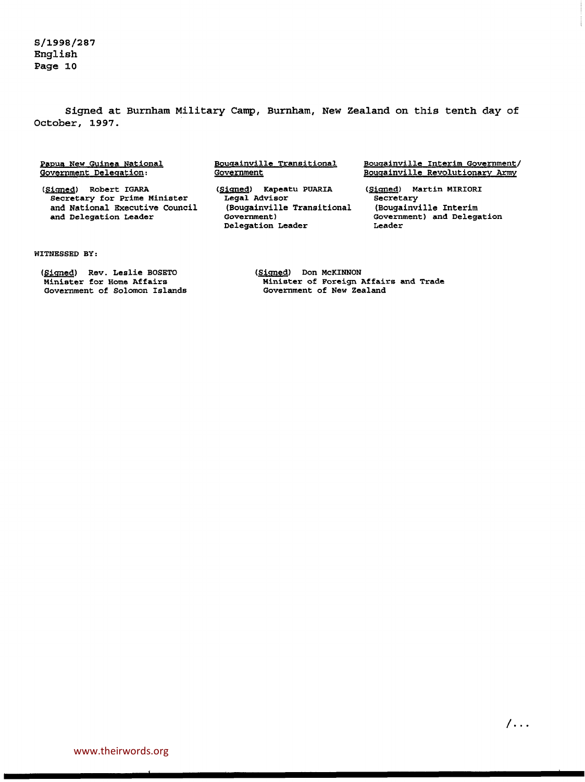S/1998/287 English Page 10

Signed at Burnham Military Camp, Burnham, New Zealand on this tenth day of October, 1997.

Papua New Guinea National Government Delegation:

(Signed) Robert IGARA<br>Secretary for Prime Minister and National Executive Council<br>and Delegation Leader Bougainville Transitional **Government** 

(Signed) Kapeatu PUARIA<br>Legal Advisor (Bougainville Transitional Government) Delegation Leader

Bougainville Interim Government/ Bougainville Revolutionary Army

(Signed) Martin MIRIORI Secretary<br>(Bougainville Interim Government) and Delegation<br>Leader

#### WITNESSED BY:

(Signed) Rev. Leslie BOSETO<br>Minister for Home Affairs Government of Solomon Islands (Signed) Don McKlNNON Minister of Foreign Affairs and Trade Government of New Zealand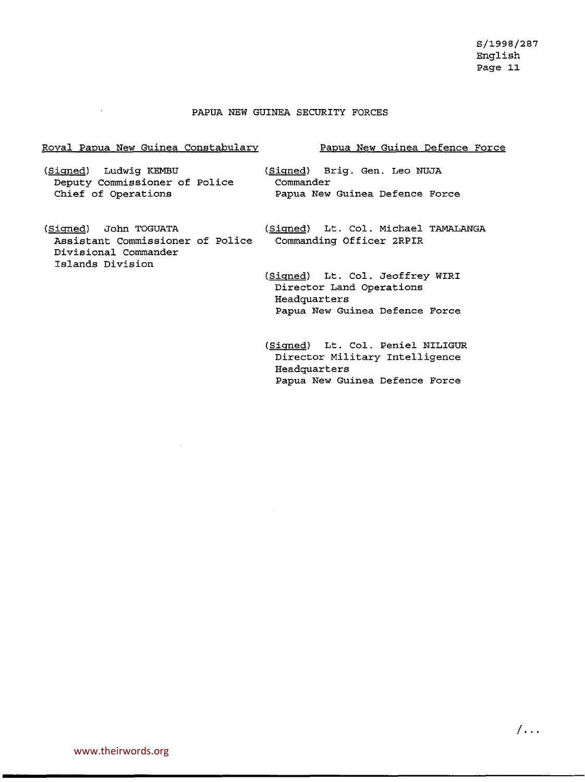# PAPUA NEW GUINEA SECURITY FORCES

# Royal Papua New Guinea Constabulary

(Signed) Ludwig KEMBU Deputy Commissioner of Police Chief of Operations

 $\bar{z}$ 

(Signed) John TOGUATA Assistant Commissioner of Police Divisional Commander Islands Division

# Papua New Guinea Defence Force

(Signed) Brig. Gen. Leo NUJA Commander Papua New Guinea Defence Force

(Signed) Lt. Col. Michael TAMALANGA Commanding Officer 2RPIR

(Signed) Lt. Col. Jeoffrey WIRI Director Land Operations Headquarters Papua New Guinea Defence Force

(Signed) Lt. Col. Peniel NILIGUR Director Military Intelligence Headquarters Papua New Guinea Defence Force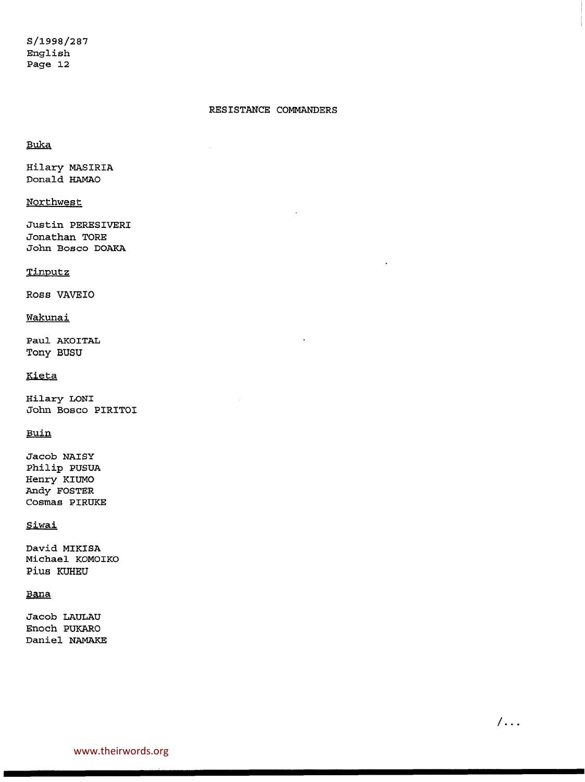# RESISTANCE COMMANDERS

# Buka

Hilary MASIRIA Donald HAMAO

# Northwest

Justin PERESIVERI Jonathan TORE John Bosco DOAKA

# Tinputz

ROSS VAVEIO

# Wakunai

Paul AKOITAL Tony BUSU

# Kieta

Hilary LONI John Bosco PIRITOI

# Buin

Jacob NAISY Philip PUSUA Henry KIUMO Andy FOSTER Cosmas PIRUKE

# **Siwai**

David MIKISA Michael KOMOIKO Pius KUHEU

# Sana

Jacob LAULAU Enoch PUKARO Daniel NAMAKE